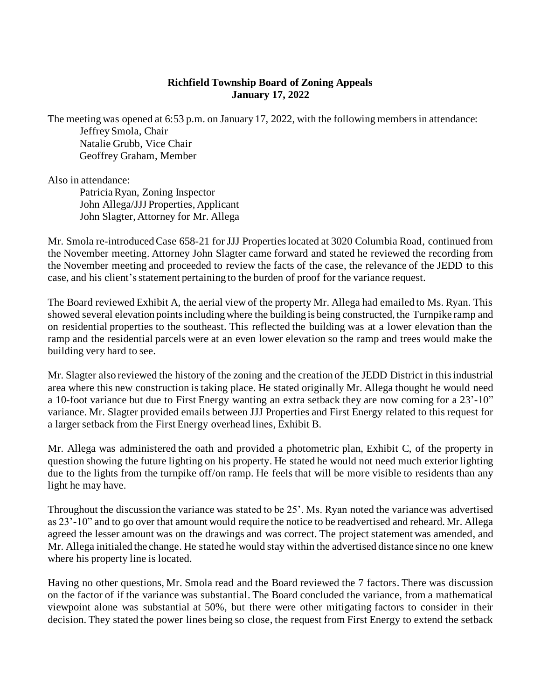## **Richfield Township Board of Zoning Appeals January 17, 2022**

The meeting was opened at 6:53 p.m. on January 17, 2022, with the following members in attendance: Jeffrey Smola, Chair Natalie Grubb, Vice Chair Geoffrey Graham, Member

Also in attendance:

Patricia Ryan, Zoning Inspector John Allega/JJJ Properties, Applicant John Slagter, Attorney for Mr. Allega

Mr. Smola re-introduced Case 658-21 for JJJ Properties located at 3020 Columbia Road, continued from the November meeting. Attorney John Slagter came forward and stated he reviewed the recording from the November meeting and proceeded to review the facts of the case, the relevance of the JEDD to this case, and his client'sstatement pertaining to the burden of proof for the variance request.

The Board reviewed Exhibit A, the aerial view of the property Mr. Allega had emailed to Ms. Ryan. This showed several elevation points including where the building is being constructed, the Turnpike ramp and on residential properties to the southeast. This reflected the building was at a lower elevation than the ramp and the residential parcels were at an even lower elevation so the ramp and trees would make the building very hard to see.

Mr. Slagter also reviewed the history of the zoning and the creation of the JEDD District in this industrial area where this new construction is taking place. He stated originally Mr. Allega thought he would need a 10-foot variance but due to First Energy wanting an extra setback they are now coming for a 23'-10" variance. Mr. Slagter provided emails between JJJ Properties and First Energy related to this request for a larger setback from the First Energy overhead lines, Exhibit B.

Mr. Allega was administered the oath and provided a photometric plan, Exhibit C, of the property in question showing the future lighting on his property. He stated he would not need much exterior lighting due to the lights from the turnpike off/on ramp. He feels that will be more visible to residents than any light he may have.

Throughout the discussion the variance was stated to be 25'. Ms. Ryan noted the variance was advertised as 23'-10" and to go over that amount would require the notice to be readvertised and reheard. Mr. Allega agreed the lesser amount was on the drawings and was correct. The project statement was amended, and Mr. Allega initialed the change. He stated he would stay within the advertised distance since no one knew where his property line is located.

Having no other questions, Mr. Smola read and the Board reviewed the 7 factors. There was discussion on the factor of if the variance was substantial. The Board concluded the variance, from a mathematical viewpoint alone was substantial at 50%, but there were other mitigating factors to consider in their decision. They stated the power lines being so close, the request from First Energy to extend the setback